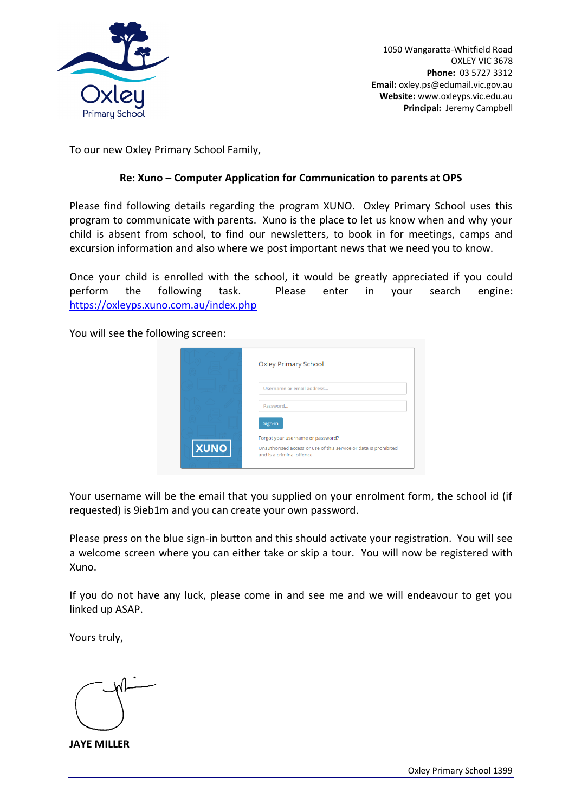

1050 Wangaratta-Whitfield Road OXLEY VIC 3678 **Phone:** 03 5727 3312  **Email:** oxley.ps@edumail.vic.gov.au **Website:** www.oxleyps.vic.edu.au **Principal:** Jeremy Campbell

To our new Oxley Primary School Family,

## **Re: Xuno – Computer Application for Communication to parents at OPS**

Please find following details regarding the program XUNO. Oxley Primary School uses this program to communicate with parents. Xuno is the place to let us know when and why your child is absent from school, to find our newsletters, to book in for meetings, camps and excursion information and also where we post important news that we need you to know.

Once your child is enrolled with the school, it would be greatly appreciated if you could perform the following task. Please enter in your search engine: <https://oxleyps.xuno.com.au/index.php>

You will see the following screen:

|             | <b>Oxley Primary School</b>                                                                    |
|-------------|------------------------------------------------------------------------------------------------|
|             | Username or email address                                                                      |
|             | Password                                                                                       |
|             | Sign-in<br>Forgot your username or password?                                                   |
| <b>XUNO</b> | Unauthorised access or use of this service or data is prohibited<br>and is a criminal offence. |

Your username will be the email that you supplied on your enrolment form, the school id (if requested) is 9ieb1m and you can create your own password.

Please press on the blue sign-in button and this should activate your registration. You will see a welcome screen where you can either take or skip a tour. You will now be registered with Xuno.

If you do not have any luck, please come in and see me and we will endeavour to get you linked up ASAP.

Yours truly,

**JAYE MILLER**